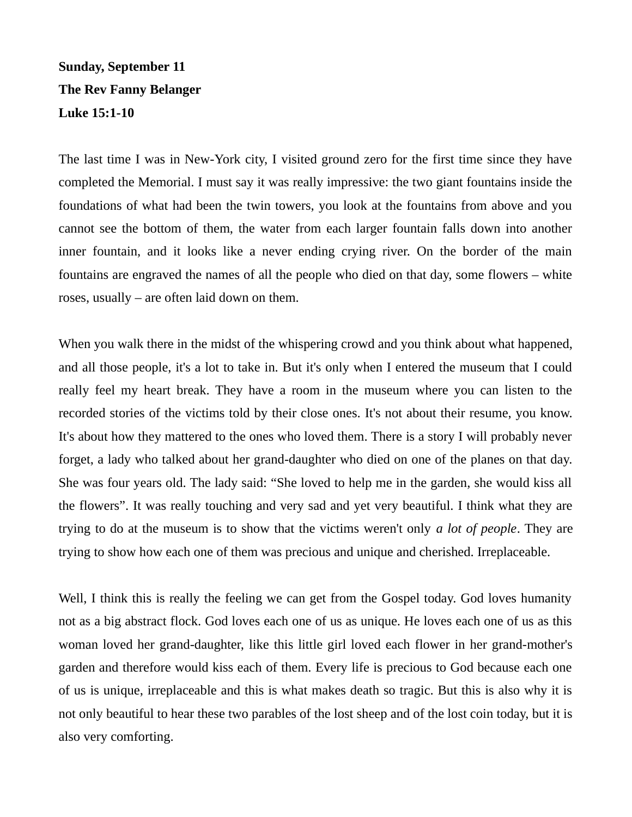## **Sunday, September 11 The Rev Fanny Belanger Luke 15:1-10**

The last time I was in New-York city, I visited ground zero for the first time since they have completed the Memorial. I must say it was really impressive: the two giant fountains inside the foundations of what had been the twin towers, you look at the fountains from above and you cannot see the bottom of them, the water from each larger fountain falls down into another inner fountain, and it looks like a never ending crying river. On the border of the main fountains are engraved the names of all the people who died on that day, some flowers – white roses, usually – are often laid down on them.

When you walk there in the midst of the whispering crowd and you think about what happened, and all those people, it's a lot to take in. But it's only when I entered the museum that I could really feel my heart break. They have a room in the museum where you can listen to the recorded stories of the victims told by their close ones. It's not about their resume, you know. It's about how they mattered to the ones who loved them. There is a story I will probably never forget, a lady who talked about her grand-daughter who died on one of the planes on that day. She was four years old. The lady said: "She loved to help me in the garden, she would kiss all the flowers". It was really touching and very sad and yet very beautiful. I think what they are trying to do at the museum is to show that the victims weren't only *a lot of people*. They are trying to show how each one of them was precious and unique and cherished. Irreplaceable.

Well, I think this is really the feeling we can get from the Gospel today. God loves humanity not as a big abstract flock. God loves each one of us as unique. He loves each one of us as this woman loved her grand-daughter, like this little girl loved each flower in her grand-mother's garden and therefore would kiss each of them. Every life is precious to God because each one of us is unique, irreplaceable and this is what makes death so tragic. But this is also why it is not only beautiful to hear these two parables of the lost sheep and of the lost coin today, but it is also very comforting.